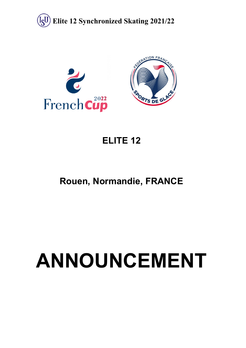



# **ELITE 12**

# **Rouen, Normandie, FRANCE**

# **ANNOUNCEMENT**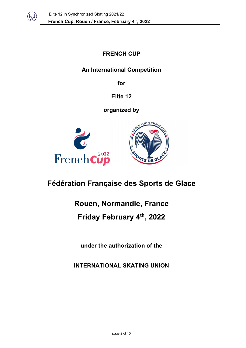

## **FRENCH CUP**

## **An International Competition**

**for** 

**Elite 12**

**organized by**





# **Fédération Française des Sports de Glace**

# **Rouen, Normandie, France**

## **Friday February 4th, 2022**

**under the authorization of the** 

**INTERNATIONAL SKATING UNION**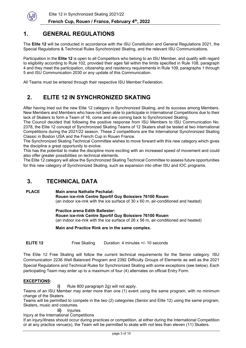

## **1. GENERAL REGULATIONS**

The **Elite 12** will be conducted in accordance with the ISU Constitution and General Regulations 2021, the Special Regulations & Technical Rules Synchronized Skating, and the relevant ISU Communications.

Participation in the **Elite 12** is open to all Competitors who belong to an ISU Member, and qualify with regard to eligibility according to Rule 102, provided their ages fall within the limits specified in Rule 108, paragraph 4 and they meet the participation, citizenship and residency requirements in Rule 109, paragraphs 1 through 5 and ISU Communication 2030 or any update of this Communication.

All Teams must be entered through their respective ISU Member Federation.

## **2. ELITE 12 IN SYNCHRONIZED SKATING**

After having tried out the new Elite 12 category in Synchronized Skating, and its success among Members. New Members and Members who have not been able to participate in International Competitions due to their lack of Skaters to form a Team of 16, come and are coming back to Synchronized Skating.

The Council decided that following the positive response from ISU Members to ISU Communication No. 2378, the Elite 12 concept of Synchronized Skating Teams of 12 Skaters shall be tested at two International Competitions during the 2021/22 season. These 2 competitions are the International Synchronized Skating Classic in Boston USA and the French Cup in Rouen France.

The Synchronized Skating Technical Committee wishes to move forward with this new category which gives the discipline a great opportunity to evolve.

This has the potential to make the discipline more exciting with an increased speed of movement and could also offer greater possibilities on technical elements.

The Elite 12 category will allow the Synchronized Skating Technical Committee to assess future opportunities for this new category of Synchronized Skating, such as expansion into other ISU and IOC programs.

## **3. TECHNICAL DATA**

#### **PLACE Main arena Nathalie Pechalat:**

**Rouen ice-rink Centre Sportif Guy Boissiere 76100 Rouen** (an indoor ice-rink with the ice surface of 30 x 60 m, air-conditioned and heated)

#### **Practice arena Edith Ballester:**

**Rouen ice-rink Centre Sportif Guy Boissiere 76100 Rouen**

(an indoor ice-rink with the ice surface of 26 x 56 m, air-conditioned and heated)

**Main and Practice Rink are in the same complex.**

**ELITE 12** Free Skating Duration: 4 minutes +/- 10 seconds

The Elite 12 Free Skating will follow the current technical requirements for the Senior category. ISU Communication 2236 Well Balanced Program and 2392 Difficulty Groups of Elements as well as the 2021 Special Regulations and Technical Rules for Synchronized Skating with some exceptions (see below). Each participating Team may enter up to a maximum of four (4) alternates on official Entry Form.

#### **EXCEPTIONS:**

**i)** Rule 800 paragraph 2g) will not apply.

Teams of an ISU Member may enter more than one (1) event using the same program, with no minimum change of the Skaters.

Teams will be permitted to compete in the two (2) categories (Senior and Elite 12) using the same program, Skaters, music and costumes.

**ii)** Injuries

Injury at the International Competitions

If an injury/illness should occur during practices or competition, at either during the International Competition or at any practice venue(s), the Team will be permitted to skate with not less than eleven (11) Skaters.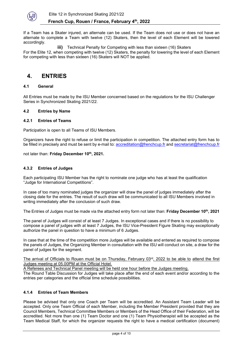

If a Team has a Skater injured, an alternate can be used. If the Team does not use or does not have an alternate to complete a Team with twelve (12) Skaters, then the level of each Element will be lowered accordingly.

**iii)** Technical Penalty for Competing with less than sixteen (16) Skaters For the Elite 12, when competing with twelve (12) Skaters, the penalty for lowering the level of each Element for competing with less than sixteen (16) Skaters will NOT be applied.

## **4. ENTRIES**

#### **4.1 General**

All Entries must be made by the ISU Member concerned based on the regulations for the ISU Challenger Series in Synchronized Skating 2021/22.

#### **4.2 Entries by Name**

#### **4.2.1 Entries of Teams**

Participation is open to all Teams of ISU Members.

Organizers have the right to refuse or limit the participation in competition. The attached entry form has to be filled in precisely and must be sent by e-mail to: [accreditation@frenchcup.fr](mailto:accreditation@frenchcup.fr) and secretariat@frenchcup.fr

not later than: Friday December 10<sup>th</sup>, 2021.

#### **4.3.2 Entries of Judges**

Each participating ISU Member has the right to nominate one judge who has at least the qualification "Judge for International Competitions".

In case of too many nominated judges the organizer will draw the panel of judges immediately after the closing date for the entries. The result of such draw will be communicated to all ISU Members involved in writing immediately after the conclusion of such draw.

The Entries of Judges must be made via the attached entry form not later than: **Friday December 10th, 2021**

The panel of Judges will consist of at least 7 Judges. In exceptional cases and if there is no possibility to compose a panel of judges with at least 7 Judges, the ISU Vice-President Figure Skating may exceptionally authorize the panel in question to have a minimum of 6 Judges.

In case that at the time of the competition more Judges will be available and entered as required to compose the panels of Judges, the Organizing Member in consultation with the ISU will conduct on site, a draw for the panel of judges for the segment.

The arrival of Officials to Rouen must be on Thursday, February  $03<sup>rd</sup>$ , 2022 to be able to attend the first Judges meeting at 05.00PM at the Official Hotel.

A Referees and Technical Panel meeting will be held one hour before the Judges meeting.

The Round Table Discussion for Judges will take place after the end of each event and/or according to the entries per categories and the official time schedule possibilities.

#### **4.1.4 Entries of Team Members**

Please be advised that only one Coach per Team will be accredited. An Assistant Team Leader will be accepted. Only one Team Official of each Member, including the Member President provided that they are Council Members, Technical Committee Members or Members of the Head Office of their Federation, will be accredited. Not more than one (1) Team Doctor and one (1) Team Physiotherapist will be accepted as the Team Medical Staff, for which the organizer requests the right to have a medical certification (document)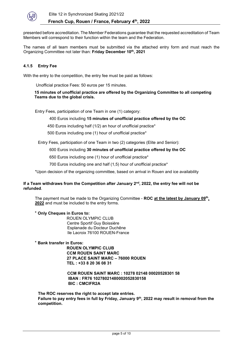

presented before accreditation. The Member Federations guarantee that the requested accreditation of Team Members will correspond to their function within the team and the Federation.

The names of all team members must be submitted via the attached entry form and must reach the Organizing Committee not later than: **Friday December 10th, 2021**

#### **4.1.5 Entry Fee**

With the entry to the competition, the entry fee must be paid as follows:

Unofficial practice Fees: 50 euros per 15 minutes.

**15 minutes of unofficial practice are offered by the Organizing Committee to all competing Teams due to the global crisis.**

Entry Fees, participation of one Team in one (1) category:

#### 400 Euros including **15 minutes of unofficial practice offered by the OC**

450 Euros including half (1/2) an hour of unofficial practice\*

500 Euros including one (1) hour of unofficial practice\*

Entry Fees, participation of one Team in two (2) categories (Elite and Senior):

#### 600 Euros including **30 minutes of unofficial practice offered by the OC**

650 Euros including one (1) hour of unofficial practice\*

700 Euros including one and half (1,5) hour of unofficial practice\*

\*Upon decision of the organizing committee, based on arrival in Rouen and ice availability

#### If a Team withdraws from the Competition after January 2<sup>nd</sup>, 2022, the entry fee will not be **refunded**.

The payment must be made to the Organizing Committee - **ROC at the latest by January 09th, 2022** and must be included to the entry forms.

#### \* **Only Cheques in Euros to:**

 ROUEN OLYMPIC CLUB Centre Sportif Guy Boissière Esplanade du Docteur Duchêne Ile Lacroix 76100 ROUEN-France

\* **Bank transfer in Euros:** 

**ROUEN OLYMPIC CLUB CCM ROUEN SAINT MARC 27 PLACE SAINT MARC – 76000 ROUEN TEL : +33 8 20 36 08 31** 

#### **CCM ROUEN SAINT MARC : 10278 02148 00020528301 58 IBAN : FR76 10278021480002052830158 BIC : CMCIFR2A**

**The ROC reserves the right to accept late entries. Failure to pay entry fees in full by Friday, January 9th, 2022 may result in removal from the competition.**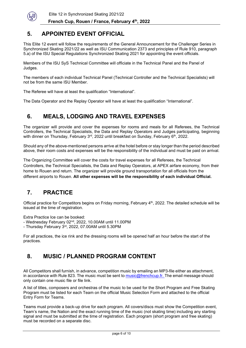

## **5. APPOINTED EVENT OFFICIAL**

This Elite 12 event will follow the requirements of the General Announcement for the Challenger Series in Synchronized Skating 2021/22 as well as ISU Communication 2373 and principles of Rule 910, paragraph 5.a) of the ISU Special Regulations Synchronized Skating 2021 for appointing the event officials.

Members of the ISU SyS Technical Committee will officiate in the Technical Panel and the Panel of Judges.

The members of each individual Technical Panel (Technical Controller and the Technical Specialists) will not be from the same ISU Member.

The Referee will have at least the qualification "International".

The Data Operator and the Replay Operator will have at least the qualification "International".

## **6. MEALS, LODGING AND TRAVEL EXPENSES**

The organizer will provide and cover the expenses for rooms and meals for all Referees, the Technical Controllers, the Technical Specialists, the Data and Replay Operators and Judges participating, beginning with dinner on Thursday, February 3<sup>rd</sup>, 2022 until breakfast on Sunday, February 6<sup>th</sup>, 2022.

Should any of the above-mentioned persons arrive at the hotel before or stay longer than the period described above, their room costs and expenses will be the responsibility of the individual and must be paid on arrival.

The Organizing Committee will cover the costs for travel expenses for all Referees, the Technical Controllers, the Technical Specialists, the Data and Replay Operators, at APEX airfare economy, from their home to Rouen and return. The organizer will provide ground transportation for all officials from the different airports to Rouen. **All other expenses will be the responsibility of each individual Official.**

## **7. PRACTICE**

Official practice for Competitors begins on Friday morning, February 4<sup>th</sup>, 2022. The detailed schedule will be issued at the time of registration.

Extra Practice Ice can be booked:

- Wednesday February 02nd, 2022, 10.00AM until 11.00PM

- Thursday February 3rd, 2022, 07.00AM until 5.30PM

For all practices, the ice rink and the dressing rooms will be opened half an hour before the start of the practices.

## **8. MUSIC / PLANNED PROGRAM CONTENT**

All Competitors shall furnish, in advance, competition music by emailing an MP3-file either as attachment, in accordance with Rule 823. The music must be sent to [music@frenchcup.fr.](mailto:music@frenchcup.fr) The email message should only contain one music file or file link.

A list of titles, composers and orchestras of the music to be used for the Short Program and Free Skating Program must be listed for each Team on the official Music Selection Form and attached to the official Entry Form for Teams.

Teams must provide a back-up drive for each program. All covers/discs must show the Competition event, Team's name, the Nation and the exact running time of the music (not skating time) including any starting signal and must be submitted at the time of registration. Each program (short program and free skating) must be recorded on a separate disc.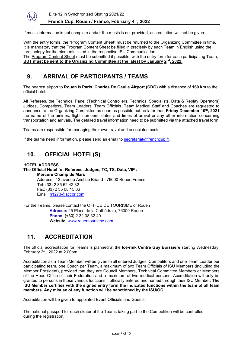

If music information is not complete and/or the music is not provided, accreditation will not be given.

With the entry forms, the "Program Content Sheet" must be returned to the Organizing Committee in time. It is mandatory that the Program Content Sheet be filled in precisely by each Team in English using the terminology for the elements listed in the respective ISU Communication.

The Program Content Sheet must be submitted if possible, with the entry form for each participating Team, **BUT must be sent to the Organizing Committee at the latest by January 2nd, 2022.**

## **9. ARRIVAL OF PARTICIPANTS / TEAMS**

The nearest airport to **Rouen** is **Paris, Charles De Gaulle Airport (CDG)** with a distance of **160 km** to the official hotel.

All Referees, the Technical Panel (Technical Controllers, Technical Specialists, Data & Replay Operators) Judges, Competitors, Team Leaders, Team Officials, Team Medical Staff and Coaches are requested to announce to the Organizing Committee as soon as possible but no later than **Friday December 10th, 2021** the name of the airlines, flight numbers, dates and times of arrival or any other information concerning transportation and arrivals. The detailed travel information need to be submitted via the attached travel form.

Teams are responsible for managing their own travel and associated costs.

If the teams need information, please send an email to secretariat@frenchcup.fr.

## **10. OFFICIAL HOTEL(S)**

#### **HOTEL ADDRESS The Official Hotel for Referees, Judges, TC, TS, Data, VIP : Mercure Champ de Mars** Address : 12 avenue Aristide Briand - 76000 Rouen France

Tel: (33) 2 35 52 42 32 Fax: (33) 2 35 08 15 06 Email: h1273@accor.com

For the Teams, please contact the OFFICE DE TOURISME of Rouen **Adresse:** 25 Place de la Cathédrale, 76000 Rouen **Phone: (+33)** 2 32 08 32 40 **Website**: [www.rouentourisme.com](http://www.rouentourisme.com/)

## **11. ACCREDITATION**

The official accreditation for Teams is planned at the **Ice-rink Centre Guy Boissière** starting Wednesday, February 2nd, 2022 at 2.00pm.

Accreditation as a Team Member will be given to all entered Judges, Competitors and one Team Leader per participating team, one Coach per Team, a maximum of two Team Officials of ISU Members (including the Member President), provided that they are Council Members, Technical Committee Members or Members of the Head Office of their Federation and a maximum of two medical persons. Accreditation will only be granted to persons in those various functions if officially entered and named through their ISU Member. **The ISU Member certifies with the signed entry form the indicated functions within the team of all team members. Any misuse of any function will be sanctioned by the ISU/OC.**

Accreditation will be given to appointed Event Officials and Guests.

The national passport for each skater of the Teams taking part to the Competition will be controlled during the registration.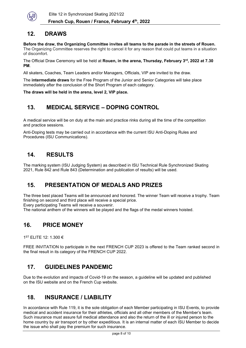

## **12. DRAWS**

**Before the draw, the Organizing Committee invites all teams to the parade in the streets of Rouen.** 

The Organizing Committee reserves the right to cancel it for any reason that could put teams in a situation of discomfort.

The Official Draw Ceremony will be held at **Rouen, in the arena, Thursday, February 3rd, 2022 at 7.30 PM**.

All skaters, Coaches, Team Leaders and/or Managers, Officials, VIP are invited to the draw.

The **intermediate draws** for the Free Program of the Junior and Senior Categories will take place immediately after the conclusion of the Short Program of each category.

**The draws will be held in the arena, level 2, VIP place.**

## **13. MEDICAL SERVICE – DOPING CONTROL**

A medical service will be on duty at the main and practice rinks during all the time of the competition and practice sessions.

Anti-Doping tests may be carried out in accordance with the current ISU Anti-Doping Rules and Procedures (ISU Communications).

## **14. RESULTS**

The marking system (ISU Judging System) as described in ISU Technical Rule Synchronized Skating 2021, Rule 842 and Rule 843 (Determination and publication of results) will be used.

## **15. PRESENTATION OF MEDALS AND PRIZES**

The three best placed Teams will be announced and honored. The winner Team will receive a trophy. Team finishing on second and third place will receive a special price.

Every participating Teams will receive a souvenir.

The national anthem of the winners will be played and the flags of the medal winners hoisted.

## **16. PRICE MONEY**

1ST ELITE 12: 1.300 €

FREE INVITATION to participate in the next FRENCH CUP 2023 is offered to the Team ranked second in the final result in its category of the FRENCH CUP 2022.

## **17. GUIDELINES PANDEMIC**

Due to the evolution and impacts of Covid-19 on the season, a guideline will be updated and published on the ISU website and on the French Cup website.

## **18. INSURANCE / LIABILITY**

In accordance with Rule 119, it is the sole obligation of each Member participating in ISU Events, to provide medical and accident insurance for their athletes, officials and all other members of the Member's team. Such insurance must assure full medical attendance and also the return of the ill or injured person to the home country by air transport or by other expeditious. It is an internal matter of each ISU Member to decide the issue who shall pay the premium for such insurance.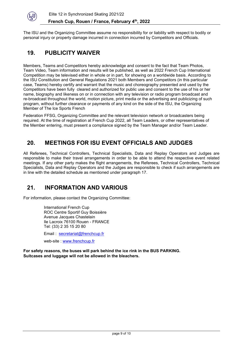

The ISU and the Organizing Committee assume no responsibility for or liability with respect to bodily or personal injury or property damage incurred in connection incurred by Competitors and Officials.

## **19. PUBLICITY WAIVER**

Members, Teams and Competitors hereby acknowledge and consent to the fact that Team Photos, Team Video, Team information and results will be published, as well as 2022 French Cup International Competition may be televised either in whole or in part, for showing on a worldwide basis. According to the ISU Constitution and General Regulations 2021 both Members and Competitors (in this particular case, Teams) hereby certify and warrant that the music and choreography presented and used by the Competitors have been fully cleared and authorized for public use and consent to the use of his or her name, biography and likeness on or in connection with any television or radio program broadcast and re-broadcast throughout the world, motion picture, print media or the advertising and publicizing of such program, without further clearance or payments of any kind on the side of the ISU, the Organizing Member of The Ice Sports French

Federation FFSG, Organizing Committee and the relevant television network or broadcasters being required. At the time of registration at French Cup 2022, all Team Leaders, or other representatives of the Member entering, must present a compliance signed by the Team Manager and/or Team Leader.

## **20. MEETINGS FOR ISU EVENT OFFICIALS AND JUDGES**

All Referees, Technical Controllers, Technical Specialists, Data and Replay Operators and Judges are responsible to make their travel arrangements in order to be able to attend the respective event related meetings. If any other party makes the flight arrangements, the Referees, Technical Controllers, Technical Specialists, Data and Replay Operators and the Judges are responsible to check if such arrangements are in line with the detailed schedule as mentioned under paragraph 17.

## **21. INFORMATION AND VARIOUS**

For information, please contact the Organizing Committee:

International French Cup ROC Centre Sportif Guy Boissière Avenue Jacques Chastelain Ile Lacroix 76100 Rouen - FRANCE Tel: (33) 2 35 15 20 80

Email : [secretariat@frenchcup.fr](mailto:secretariat@frenchcup.fr)

web-site : [www.frenchcup.fr](http://www.frenchcup.fr/)

**For safety reasons, the buses will park behind the ice rink in the BUS PARKING. Suitcases and luggage will not be allowed in the bleachers.**